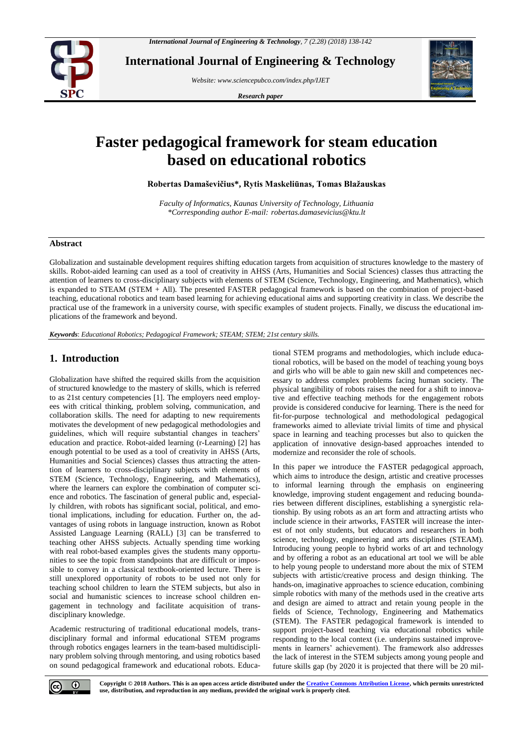

**International Journal of Engineering & Technology**

*Website: www.sciencepubco.com/index.php/IJET* 

*Research paper*



# **Faster pedagogical framework for steam education based on educational robotics**

**Robertas Damaševičius\*, Rytis Maskeliūnas, Tomas Blažauskas**

*Faculty of Informatics, Kaunas University of Technology, Lithuania \*Corresponding author E-mail: robertas.damasevicius@ktu.lt*

### **Abstract**

Globalization and sustainable development requires shifting education targets from acquisition of structures knowledge to the mastery of skills. Robot-aided learning can used as a tool of creativity in AHSS (Arts, Humanities and Social Sciences) classes thus attracting the attention of learners to cross-disciplinary subjects with elements of STEM (Science, Technology, Engineering, and Mathematics), which is expanded to STEAM (STEM + All). The presented FASTER pedagogical framework is based on the combination of project-based teaching, educational robotics and team based learning for achieving educational aims and supporting creativity in class. We describe the practical use of the framework in a university course, with specific examples of student projects. Finally, we discuss the educational implications of the framework and beyond.

*Keywords*: *Educational Robotics; Pedagogical Framework; STEAM; STEM; 21st century skills.*

# **1. Introduction**

Globalization have shifted the required skills from the acquisition of structured knowledge to the mastery of skills, which is referred to as 21st century competencies [1]. The employers need employees with critical thinking, problem solving, communication, and collaboration skills. The need for adapting to new requirements motivates the development of new pedagogical methodologies and guidelines, which will require substantial changes in teachers' education and practice. Robot-aided learning (r-Learning) [2] has enough potential to be used as a tool of creativity in AHSS (Arts, Humanities and Social Sciences) classes thus attracting the attention of learners to cross-disciplinary subjects with elements of STEM (Science, Technology, Engineering, and Mathematics), where the learners can explore the combination of computer science and robotics. The fascination of general public and, especially children, with robots has significant social, political, and emotional implications, including for education. Further on, the advantages of using robots in language instruction, known as Robot Assisted Language Learning (RALL) [3] can be transferred to teaching other AHSS subjects. Actually spending time working with real robot-based examples gives the students many opportunities to see the topic from standpoints that are difficult or impossible to convey in a classical textbook-oriented lecture. There is still unexplored opportunity of robots to be used not only for teaching school children to learn the STEM subjects, but also in social and humanistic sciences to increase school children engagement in technology and facilitate acquisition of transdisciplinary knowledge.

Academic restructuring of traditional educational models, transdisciplinary formal and informal educational STEM programs through robotics engages learners in the team-based multidisciplinary problem solving through mentoring, and using robotics based on sound pedagogical framework and educational robots. Educational STEM programs and methodologies, which include educational robotics, will be based on the model of teaching young boys and girls who will be able to gain new skill and competences necessary to address complex problems facing human society. The physical tangibility of robots raises the need for a shift to innovative and effective teaching methods for the engagement robots provide is considered conducive for learning. There is the need for fit-for-purpose technological and methodological pedagogical frameworks aimed to alleviate trivial limits of time and physical space in learning and teaching processes but also to quicken the application of innovative design-based approaches intended to modernize and reconsider the role of schools.

In this paper we introduce the FASTER pedagogical approach, which aims to introduce the design, artistic and creative processes to informal learning through the emphasis on engineering knowledge, improving student engagement and reducing boundaries between different disciplines, establishing a synergistic relationship. By using robots as an art form and attracting artists who include science in their artworks, FASTER will increase the interest of not only students, but educators and researchers in both science, technology, engineering and arts disciplines (STEAM). Introducing young people to hybrid works of art and technology and by offering a robot as an educational art tool we will be able to help young people to understand more about the mix of STEM subjects with artistic/creative process and design thinking. The hands-on, imaginative approaches to science education, combining simple robotics with many of the methods used in the creative arts and design are aimed to attract and retain young people in the fields of Science, Technology, Engineering and Mathematics (STEM). The FASTER pedagogical framework is intended to support project-based teaching via educational robotics while responding to the local context (i.e. underpins sustained improvements in learners' achievement). The framework also addresses the lack of interest in the STEM subjects among young people and future skills gap (by 2020 it is projected that there will be 20 mil-

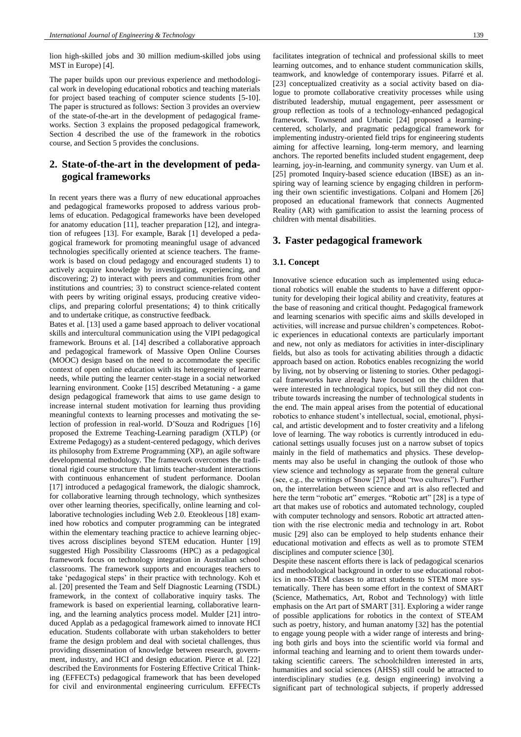lion high-skilled jobs and 30 million medium-skilled jobs using MST in Europe) [4].

The paper builds upon our previous experience and methodological work in developing educational robotics and teaching materials for project based teaching of computer science students [5-10]. The paper is structured as follows: Section 3 provides an overview of the state-of-the-art in the development of pedagogical frameworks. Section 3 explains the proposed pedagogical framework, Section 4 described the use of the framework in the robotics course, and Section 5 provides the conclusions.

# **2. State-of-the-art in the development of pedagogical frameworks**

In recent years there was a flurry of new educational approaches and pedagogical frameworks proposed to address various problems of education. Pedagogical frameworks have been developed for anatomy education [11], teacher preparation [12], and integration of refugees [13]. For example, Barak [1] developed a pedagogical framework for promoting meaningful usage of advanced technologies specifically oriented at science teachers. The framework is based on cloud pedagogy and encouraged students 1) to actively acquire knowledge by investigating, experiencing, and discovering; 2) to interact with peers and communities from other institutions and countries; 3) to construct science-related content with peers by writing original essays, producing creative videoclips, and preparing colorful presentations; 4) to think critically and to undertake critique, as constructive feedback.

Bates et al. [13] used a game based approach to deliver vocational skills and intercultural communication using the VIPI pedagogical framework. Brouns et al. [14] described a collaborative approach and pedagogical framework of Massive Open Online Courses (MOOC) design based on the need to accommodate the specific context of open online education with its heterogeneity of learner needs, while putting the learner center-stage in a social networked learning environment. Cooke [15] described Metatuning - a game design pedagogical framework that aims to use game design to increase internal student motivation for learning thus providing meaningful contexts to learning processes and motivating the selection of profession in real-world. D'Souza and Rodrigues [16] proposed the Extreme Teaching-Learning paradigm (XTLP) (or Extreme Pedagogy) as a student-centered pedagogy, which derives its philosophy from Extreme Programming (XP), an agile software developmental methodology. The framework overcomes the traditional rigid course structure that limits teacher-student interactions with continuous enhancement of student performance. Doolan [17] introduced a pedagogical framework, the dialogic shamrock, for collaborative learning through technology, which synthesizes over other learning theories, specifically, online learning and collaborative technologies including Web 2.0. Eteokleous [18] examined how robotics and computer programming can be integrated within the elementary teaching practice to achieve learning objectives across disciplines beyond STEM education. Hunter [19] suggested High Possibility Classrooms (HPC) as a pedagogical framework focus on technology integration in Australian school classrooms. The framework supports and encourages teachers to take 'pedagogical steps' in their practice with technology. Koh et al. [20] presented the Team and Self Diagnostic Learning (TSDL) framework, in the context of collaborative inquiry tasks. The framework is based on experiential learning, collaborative learning, and the learning analytics process model. Mulder [21] introduced Applab as a pedagogical framework aimed to innovate HCI education. Students collaborate with urban stakeholders to better frame the design problem and deal with societal challenges, thus providing dissemination of knowledge between research, government, industry, and HCI and design education. Pierce et al. [22] described the Environments for Fostering Effective Critical Thinking (EFFECTs) pedagogical framework that has been developed for civil and environmental engineering curriculum. EFFECTs facilitates integration of technical and professional skills to meet learning outcomes, and to enhance student communication skills, teamwork, and knowledge of contemporary issues. Pifarré et al. [23] conceptualized creativity as a social activity based on dialogue to promote collaborative creativity processes while using distributed leadership, mutual engagement, peer assessment or group reflection as tools of a technology-enhanced pedagogical framework. Townsend and Urbanic [24] proposed a learningcentered, scholarly, and pragmatic pedagogical framework for implementing industry-oriented field trips for engineering students aiming for affective learning, long-term memory, and learning anchors. The reported benefits included student engagement, deep learning, joy-in-learning, and community synergy. van Uum et al. [25] promoted Inquiry-based science education (IBSE) as an inspiring way of learning science by engaging children in performing their own scientific investigations. Colpani and Homem [26] proposed an educational framework that connects Augmented Reality (AR) with gamification to assist the learning process of children with mental disabilities.

## **3. Faster pedagogical framework**

#### **3.1. Concept**

Innovative science education such as implemented using educational robotics will enable the students to have a different opportunity for developing their logical ability and creativity, features at the base of reasoning and critical thought. Pedagogical framework and learning scenarios with specific aims and skills developed in activities, will increase and pursue children's competences. Robotic experiences in educational contexts are particularly important and new, not only as mediators for activities in inter-disciplinary fields, but also as tools for activating abilities through a didactic approach based on action. Robotics enables recognizing the world by living, not by observing or listening to stories. Other pedagogical frameworks have already have focused on the children that were interested in technological topics, but still they did not contribute towards increasing the number of technological students in the end. The main appeal arises from the potential of educational robotics to enhance student's intellectual, social, emotional, physical, and artistic development and to foster creativity and a lifelong love of learning. The way robotics is currently introduced in educational settings usually focuses just on a narrow subset of topics mainly in the field of mathematics and physics. These developments may also be useful in changing the outlook of those who view science and technology as separate from the general culture (see, e.g., the writings of Snow [27] about "two cultures"). Further on, the interrelation between science and art is also reflected and here the term "robotic art" emerges. "Robotic art" [28] is a type of art that makes use of robotics and automated technology, coupled with computer technology and sensors. Robotic art attracted attention with the rise electronic media and technology in art. Robot music [29] also can be employed to help students enhance their educational motivation and effects as well as to promote STEM disciplines and computer science [30].

Despite these nascent efforts there is lack of pedagogical scenarios and methodological background in order to use educational robotics in non-STEM classes to attract students to STEM more systematically. There has been some effort in the context of SMART (Science, Mathematics, Art, Robot and Technology) with little emphasis on the Art part of SMART [31]. Exploring a wider range of possible applications for robotics in the context of STEAM such as poetry, history, and human anatomy [32] has the potential to engage young people with a wider range of interests and bringing both girls and boys into the scientific world via formal and informal teaching and learning and to orient them towards undertaking scientific careers. The schoolchildren interested in arts, humanities and social sciences (AHSS) still could be attracted to interdisciplinary studies (e.g. design engineering) involving a significant part of technological subjects, if properly addressed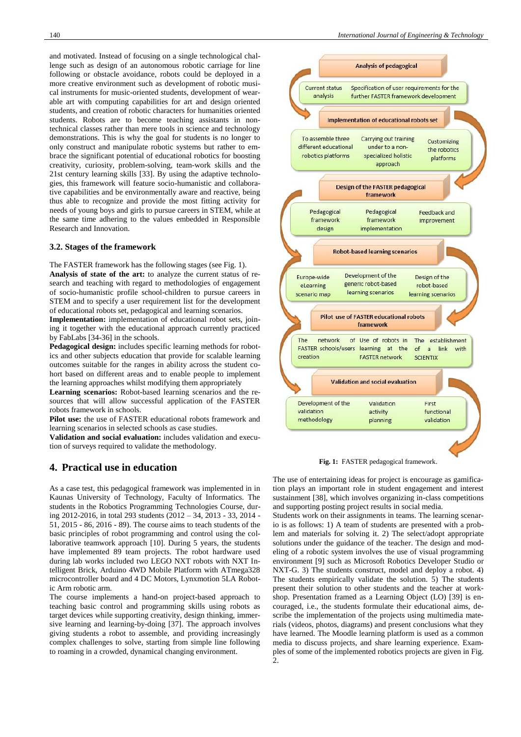and motivated. Instead of focusing on a single technological challenge such as design of an autonomous robotic carriage for line following or obstacle avoidance, robots could be deployed in a more creative environment such as development of robotic musical instruments for music-oriented students, development of wearable art with computing capabilities for art and design oriented students, and creation of robotic characters for humanities oriented students. Robots are to become teaching assistants in nontechnical classes rather than mere tools in science and technology demonstrations. This is why the goal for students is no longer to only construct and manipulate robotic systems but rather to embrace the significant potential of educational robotics for boosting creativity, curiosity, problem-solving, team-work skills and the 21st century learning skills [33]. By using the adaptive technologies, this framework will feature socio-humanistic and collaborative capabilities and be environmentally aware and reactive, being thus able to recognize and provide the most fitting activity for needs of young boys and girls to pursue careers in STEM, while at the same time adhering to the values embedded in Responsible Research and Innovation.

#### **3.2. Stages of the framework**

The FASTER framework has the following stages (see Fig. 1). **Analysis of state of the art:** to analyze the current status of research and teaching with regard to methodologies of engagement of socio-humanistic profile school-children to pursue careers in STEM and to specify a user requirement list for the development of educational robots set, pedagogical and learning scenarios.

**Implementation:** implementation of educational robot sets, joining it together with the educational approach currently practiced by FabLabs [34-36] in the schools.

**Pedagogical design:** includes specific learning methods for robotics and other subjects education that provide for scalable learning outcomes suitable for the ranges in ability across the student cohort based on different areas and to enable people to implement the learning approaches whilst modifying them appropriately

**Learning scenarios:** Robot-based learning scenarios and the resources that will allow successful application of the FASTER robots framework in schools.

**Pilot use:** the use of FASTER educational robots framework and learning scenarios in selected schools as case studies.

**Validation and social evaluation:** includes validation and execution of surveys required to validate the methodology.

## **4. Practical use in education**

As a case test, this pedagogical framework was implemented in in Kaunas University of Technology, Faculty of Informatics. The students in the Robotics Programming Technologies Course, during 2012-2016, in total 293 students (2012 – 34, 2013 - 33, 2014 - 51, 2015 - 86, 2016 - 89). The course aims to teach students of the basic principles of robot programming and control using the collaborative teamwork approach [10]. During 5 years, the students have implemented 89 team projects. The robot hardware used during lab works included two LEGO NXT robots with NXT Intelligent Brick, Arduino 4WD Mobile Platform with ATmega328 microcontroller board and 4 DC Motors, Lynxmotion 5LA Robotic Arm robotic arm.

The course implements a hand-on project-based approach to teaching basic control and programming skills using robots as target devices while supporting creativity, design thinking, immersive learning and learning-by-doing [37]. The approach involves giving students a robot to assemble, and providing increasingly complex challenges to solve, starting from simple line following to roaming in a crowded, dynamical changing environment.



**Fig. 1:** FASTER pedagogical framework.

The use of entertaining ideas for project is encourage as gamification plays an important role in student engagement and interest sustainment [38], which involves organizing in-class competitions and supporting posting project results in social media.

Students work on their assignments in teams. The learning scenario is as follows: 1) A team of students are presented with a problem and materials for solving it. 2) The select/adopt appropriate solutions under the guidance of the teacher. The design and modeling of a robotic system involves the use of visual programming environment [9] such as Microsoft Robotics Developer Studio or NXT-G. 3) The students construct, model and deploy a robot. 4) The students empirically validate the solution. 5) The students present their solution to other students and the teacher at workshop. Presentation framed as a Learning Object (LO) [39] is encouraged, i.e., the students formulate their educational aims, describe the implementation of the projects using multimedia materials (videos, photos, diagrams) and present conclusions what they have learned. The Moodle learning platform is used as a common media to discuss projects, and share learning experience. Examples of some of the implemented robotics projects are given in Fig. 2.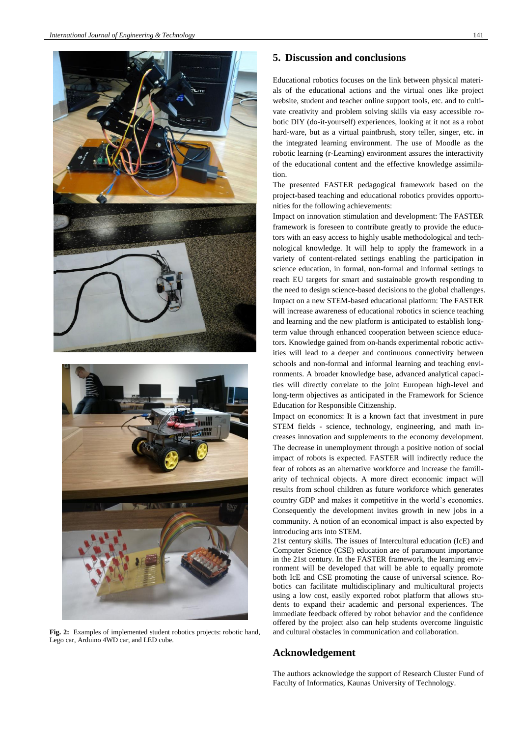



**Fig. 2:** Examples of implemented student robotics projects: robotic hand, Lego car, Arduino 4WD car, and LED cube.

# **5. Discussion and conclusions**

Educational robotics focuses on the link between physical materials of the educational actions and the virtual ones like project website, student and teacher online support tools, etc. and to cultivate creativity and problem solving skills via easy accessible robotic DIY (do-it-yourself) experiences, looking at it not as a robot hard-ware, but as a virtual paintbrush, story teller, singer, etc. in the integrated learning environment. The use of Moodle as the robotic learning (r-Learning) environment assures the interactivity of the educational content and the effective knowledge assimilation.

The presented FASTER pedagogical framework based on the project-based teaching and educational robotics provides opportunities for the following achievements:

Impact on innovation stimulation and development: The FASTER framework is foreseen to contribute greatly to provide the educators with an easy access to highly usable methodological and technological knowledge. It will help to apply the framework in a variety of content-related settings enabling the participation in science education, in formal, non-formal and informal settings to reach EU targets for smart and sustainable growth responding to the need to design science-based decisions to the global challenges. Impact on a new STEM-based educational platform: The FASTER will increase awareness of educational robotics in science teaching and learning and the new platform is anticipated to establish longterm value through enhanced cooperation between science educators. Knowledge gained from on-hands experimental robotic activities will lead to a deeper and continuous connectivity between schools and non-formal and informal learning and teaching environments. A broader knowledge base, advanced analytical capacities will directly correlate to the joint European high-level and long-term objectives as anticipated in the Framework for Science Education for Responsible Citizenship.

Impact on economics: It is a known fact that investment in pure STEM fields - science, technology, engineering, and math increases innovation and supplements to the economy development. The decrease in unemployment through a positive notion of social impact of robots is expected. FASTER will indirectly reduce the fear of robots as an alternative workforce and increase the familiarity of technical objects. A more direct economic impact will results from school children as future workforce which generates country GDP and makes it competitive in the world's economics. Consequently the development invites growth in new jobs in a community. A notion of an economical impact is also expected by introducing arts into STEM.

21st century skills. The issues of Intercultural education (IcE) and Computer Science (CSE) education are of paramount importance in the 21st century. In the FASTER framework, the learning environment will be developed that will be able to equally promote both IcE and CSE promoting the cause of universal science. Robotics can facilitate multidisciplinary and multicultural projects using a low cost, easily exported robot platform that allows students to expand their academic and personal experiences. The immediate feedback offered by robot behavior and the confidence offered by the project also can help students overcome linguistic and cultural obstacles in communication and collaboration.

# **Acknowledgement**

The authors acknowledge the support of Research Cluster Fund of Faculty of Informatics, Kaunas University of Technology.